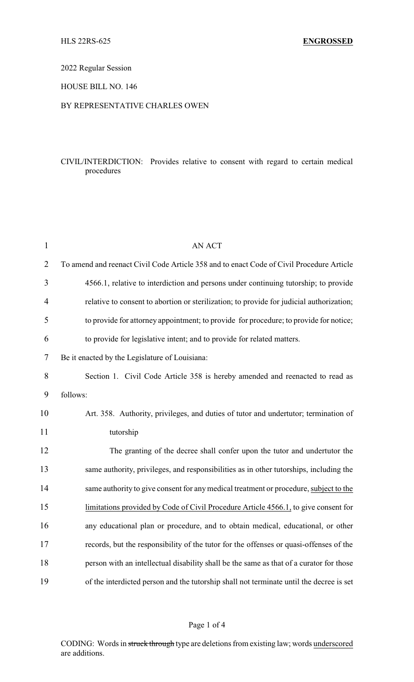# 2022 Regular Session

## HOUSE BILL NO. 146

## BY REPRESENTATIVE CHARLES OWEN

# CIVIL/INTERDICTION: Provides relative to consent with regard to certain medical procedures

| $\mathbf{1}$   | <b>AN ACT</b>                                                                            |
|----------------|------------------------------------------------------------------------------------------|
| $\overline{2}$ | To amend and reenact Civil Code Article 358 and to enact Code of Civil Procedure Article |
| 3              | 4566.1, relative to interdiction and persons under continuing tutorship; to provide      |
| $\overline{4}$ | relative to consent to abortion or sterilization; to provide for judicial authorization; |
| 5              | to provide for attorney appointment; to provide for procedure; to provide for notice;    |
| 6              | to provide for legislative intent; and to provide for related matters.                   |
| 7              | Be it enacted by the Legislature of Louisiana:                                           |
| 8              | Section 1. Civil Code Article 358 is hereby amended and reenacted to read as             |
| 9              | follows:                                                                                 |
| 10             | Art. 358. Authority, privileges, and duties of tutor and undertutor; termination of      |
| 11             | tutorship                                                                                |
| 12             | The granting of the decree shall confer upon the tutor and undertutor the                |
| 13             | same authority, privileges, and responsibilities as in other tutorships, including the   |
| 14             | same authority to give consent for any medical treatment or procedure, subject to the    |
| 15             | limitations provided by Code of Civil Procedure Article 4566.1, to give consent for      |
| 16             | any educational plan or procedure, and to obtain medical, educational, or other          |
| 17             | records, but the responsibility of the tutor for the offenses or quasi-offenses of the   |
| 18             | person with an intellectual disability shall be the same as that of a curator for those  |
| 19             | of the interdicted person and the tutorship shall not terminate until the decree is set  |

#### Page 1 of 4

CODING: Words in struck through type are deletions from existing law; words underscored are additions.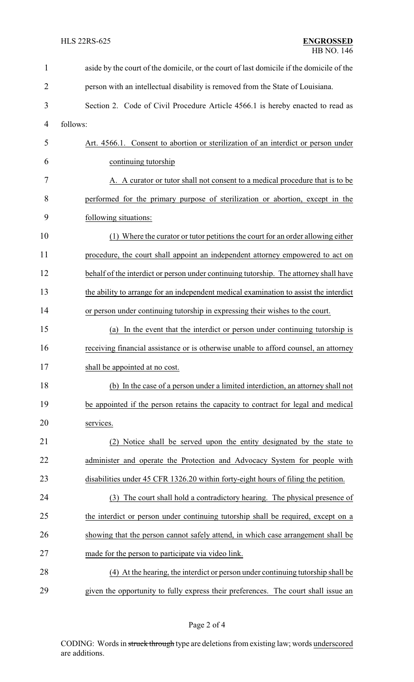| $\mathbf{1}$   | aside by the court of the domicile, or the court of last domicile if the domicile of the |  |  |
|----------------|------------------------------------------------------------------------------------------|--|--|
| $\overline{2}$ | person with an intellectual disability is removed from the State of Louisiana.           |  |  |
| 3              | Section 2. Code of Civil Procedure Article 4566.1 is hereby enacted to read as           |  |  |
| $\overline{4}$ | follows:                                                                                 |  |  |
| 5              | Art. 4566.1. Consent to abortion or sterilization of an interdict or person under        |  |  |
| 6              | continuing tutorship                                                                     |  |  |
| 7              | A. A curator or tutor shall not consent to a medical procedure that is to be             |  |  |
| 8              | performed for the primary purpose of sterilization or abortion, except in the            |  |  |
| 9              | following situations:                                                                    |  |  |
| 10             | (1) Where the curator or tutor petitions the court for an order allowing either          |  |  |
| 11             | procedure, the court shall appoint an independent attorney empowered to act on           |  |  |
| 12             | behalf of the interdict or person under continuing tutorship. The attorney shall have    |  |  |
| 13             | the ability to arrange for an independent medical examination to assist the interdict    |  |  |
| 14             | or person under continuing tutorship in expressing their wishes to the court.            |  |  |
| 15             | In the event that the interdict or person under continuing tutorship is<br>(a)           |  |  |
| 16             | receiving financial assistance or is otherwise unable to afford counsel, an attorney     |  |  |
| 17             | shall be appointed at no cost.                                                           |  |  |
| 18             | (b) In the case of a person under a limited interdiction, an attorney shall not          |  |  |
| 19             | be appointed if the person retains the capacity to contract for legal and medical        |  |  |
| 20             | services.                                                                                |  |  |
| 21             | Notice shall be served upon the entity designated by the state to<br>(2)                 |  |  |
| 22             | administer and operate the Protection and Advocacy System for people with                |  |  |
| 23             | disabilities under 45 CFR 1326.20 within forty-eight hours of filing the petition.       |  |  |
| 24             | The court shall hold a contradictory hearing. The physical presence of<br>(3)            |  |  |
| 25             | the interdict or person under continuing tutorship shall be required, except on a        |  |  |
| 26             | showing that the person cannot safely attend, in which case arrangement shall be         |  |  |
| 27             | made for the person to participate via video link.                                       |  |  |
| 28             | (4) At the hearing, the interdict or person under continuing tutorship shall be          |  |  |
| 29             | given the opportunity to fully express their preferences. The court shall issue an       |  |  |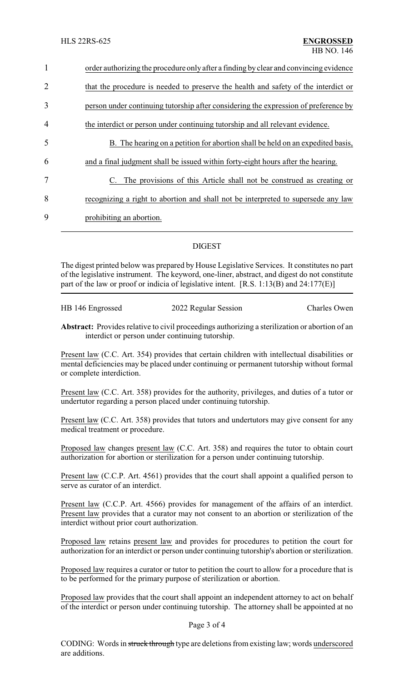| $\mathbf{1}$   | order authorizing the procedure only after a finding by clear and convincing evidence |  |  |
|----------------|---------------------------------------------------------------------------------------|--|--|
| 2              | that the procedure is needed to preserve the health and safety of the interdict or    |  |  |
| 3              | person under continuing tutorship after considering the expression of preference by   |  |  |
| $\overline{4}$ | the interdict or person under continuing tutorship and all relevant evidence.         |  |  |
| 5              | B. The hearing on a petition for abortion shall be held on an expedited basis,        |  |  |
| 6              | and a final judgment shall be issued within forty-eight hours after the hearing.      |  |  |
| 7              | The provisions of this Article shall not be construed as creating or                  |  |  |
| 8              | recognizing a right to abortion and shall not be interpreted to supersede any law     |  |  |
| 9              | prohibiting an abortion.                                                              |  |  |
|                |                                                                                       |  |  |

# DIGEST

The digest printed below was prepared by House Legislative Services. It constitutes no part of the legislative instrument. The keyword, one-liner, abstract, and digest do not constitute part of the law or proof or indicia of legislative intent.  $[R.S. 1:13(B)$  and  $24:177(E)]$ 

| HB 146 Engrossed | 2022 Regular Session | <b>Charles Owen</b> |
|------------------|----------------------|---------------------|
|                  |                      |                     |

**Abstract:** Provides relative to civil proceedings authorizing a sterilization or abortion of an interdict or person under continuing tutorship.

Present law (C.C. Art. 354) provides that certain children with intellectual disabilities or mental deficiencies may be placed under continuing or permanent tutorship without formal or complete interdiction.

Present law (C.C. Art. 358) provides for the authority, privileges, and duties of a tutor or undertutor regarding a person placed under continuing tutorship.

Present law (C.C. Art. 358) provides that tutors and undertutors may give consent for any medical treatment or procedure.

Proposed law changes present law (C.C. Art. 358) and requires the tutor to obtain court authorization for abortion or sterilization for a person under continuing tutorship.

Present law (C.C.P. Art. 4561) provides that the court shall appoint a qualified person to serve as curator of an interdict.

Present law (C.C.P. Art. 4566) provides for management of the affairs of an interdict. Present law provides that a curator may not consent to an abortion or sterilization of the interdict without prior court authorization.

Proposed law retains present law and provides for procedures to petition the court for authorization for an interdict or person under continuing tutorship's abortion or sterilization.

Proposed law requires a curator or tutor to petition the court to allow for a procedure that is to be performed for the primary purpose of sterilization or abortion.

Proposed law provides that the court shall appoint an independent attorney to act on behalf of the interdict or person under continuing tutorship. The attorney shall be appointed at no

#### Page 3 of 4

CODING: Words in struck through type are deletions from existing law; words underscored are additions.